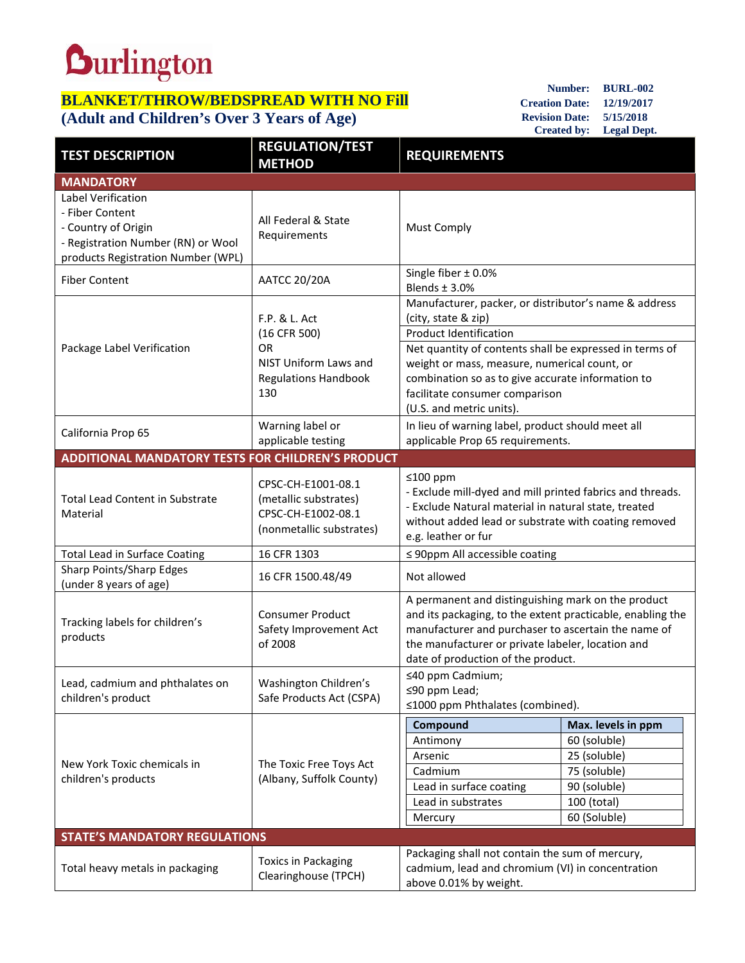## **Durlington**

## **BLANKET/THROW/BEDSPREAD WITH NO Fill (Adult and Children's Over 3 Years of Age)**

**Number: BURL-002 Creation Date: 12/19/2017 Revision Date: 5/15/2018 Created by: Legal Dept.**

| <b>TEST DESCRIPTION</b>                                                                                                                  | <b>REGULATION/TEST</b><br><b>METHOD</b>                                                                   | <b>REQUIREMENTS</b>                                                                                                                                                                                                                                                                                                                  |                                                                                                                   |  |
|------------------------------------------------------------------------------------------------------------------------------------------|-----------------------------------------------------------------------------------------------------------|--------------------------------------------------------------------------------------------------------------------------------------------------------------------------------------------------------------------------------------------------------------------------------------------------------------------------------------|-------------------------------------------------------------------------------------------------------------------|--|
| <b>MANDATORY</b>                                                                                                                         |                                                                                                           |                                                                                                                                                                                                                                                                                                                                      |                                                                                                                   |  |
| Label Verification<br>- Fiber Content<br>- Country of Origin<br>- Registration Number (RN) or Wool<br>products Registration Number (WPL) | All Federal & State<br>Requirements                                                                       | <b>Must Comply</b>                                                                                                                                                                                                                                                                                                                   |                                                                                                                   |  |
| <b>Fiber Content</b>                                                                                                                     | <b>AATCC 20/20A</b>                                                                                       | Single fiber ± 0.0%<br>Blends $±$ 3.0%                                                                                                                                                                                                                                                                                               |                                                                                                                   |  |
| Package Label Verification                                                                                                               | F.P. & L. Act<br>(16 CFR 500)<br><b>OR</b><br>NIST Uniform Laws and<br><b>Regulations Handbook</b><br>130 | Manufacturer, packer, or distributor's name & address<br>(city, state & zip)<br>Product Identification<br>Net quantity of contents shall be expressed in terms of<br>weight or mass, measure, numerical count, or<br>combination so as to give accurate information to<br>facilitate consumer comparison<br>(U.S. and metric units). |                                                                                                                   |  |
| California Prop 65                                                                                                                       | Warning label or<br>applicable testing                                                                    | In lieu of warning label, product should meet all<br>applicable Prop 65 requirements.                                                                                                                                                                                                                                                |                                                                                                                   |  |
| <b>ADDITIONAL MANDATORY TESTS FOR CHILDREN'S PRODUCT</b>                                                                                 |                                                                                                           |                                                                                                                                                                                                                                                                                                                                      |                                                                                                                   |  |
| <b>Total Lead Content in Substrate</b><br>Material                                                                                       | CPSC-CH-E1001-08.1<br>(metallic substrates)<br>CPSC-CH-E1002-08.1<br>(nonmetallic substrates)             | $≤100$ ppm<br>- Exclude mill-dyed and mill printed fabrics and threads.<br>- Exclude Natural material in natural state, treated<br>without added lead or substrate with coating removed<br>e.g. leather or fur                                                                                                                       |                                                                                                                   |  |
| <b>Total Lead in Surface Coating</b>                                                                                                     | 16 CFR 1303                                                                                               | $\leq$ 90ppm All accessible coating                                                                                                                                                                                                                                                                                                  |                                                                                                                   |  |
| Sharp Points/Sharp Edges<br>(under 8 years of age)                                                                                       | 16 CFR 1500.48/49                                                                                         | Not allowed                                                                                                                                                                                                                                                                                                                          |                                                                                                                   |  |
| Tracking labels for children's<br>products                                                                                               | <b>Consumer Product</b><br>Safety Improvement Act<br>of 2008                                              | A permanent and distinguishing mark on the product<br>and its packaging, to the extent practicable, enabling the<br>manufacturer and purchaser to ascertain the name of<br>the manufacturer or private labeler, location and<br>date of production of the product.                                                                   |                                                                                                                   |  |
| Lead, cadmium and phthalates on<br>children's product                                                                                    | Washington Children's<br>Safe Products Act (CSPA)                                                         | ≤40 ppm Cadmium;<br>≤90 ppm Lead;<br>≤1000 ppm Phthalates (combined).                                                                                                                                                                                                                                                                |                                                                                                                   |  |
| New York Toxic chemicals in<br>children's products                                                                                       | The Toxic Free Toys Act<br>(Albany, Suffolk County)                                                       | Compound<br>Antimony<br>Arsenic<br>Cadmium<br>Lead in surface coating<br>Lead in substrates<br>Mercury                                                                                                                                                                                                                               | Max. levels in ppm<br>60 (soluble)<br>25 (soluble)<br>75 (soluble)<br>90 (soluble)<br>100 (total)<br>60 (Soluble) |  |
| <b>STATE'S MANDATORY REGULATIONS</b>                                                                                                     |                                                                                                           |                                                                                                                                                                                                                                                                                                                                      |                                                                                                                   |  |
| Total heavy metals in packaging                                                                                                          | <b>Toxics in Packaging</b><br>Clearinghouse (TPCH)                                                        | Packaging shall not contain the sum of mercury,<br>cadmium, lead and chromium (VI) in concentration<br>above 0.01% by weight.                                                                                                                                                                                                        |                                                                                                                   |  |